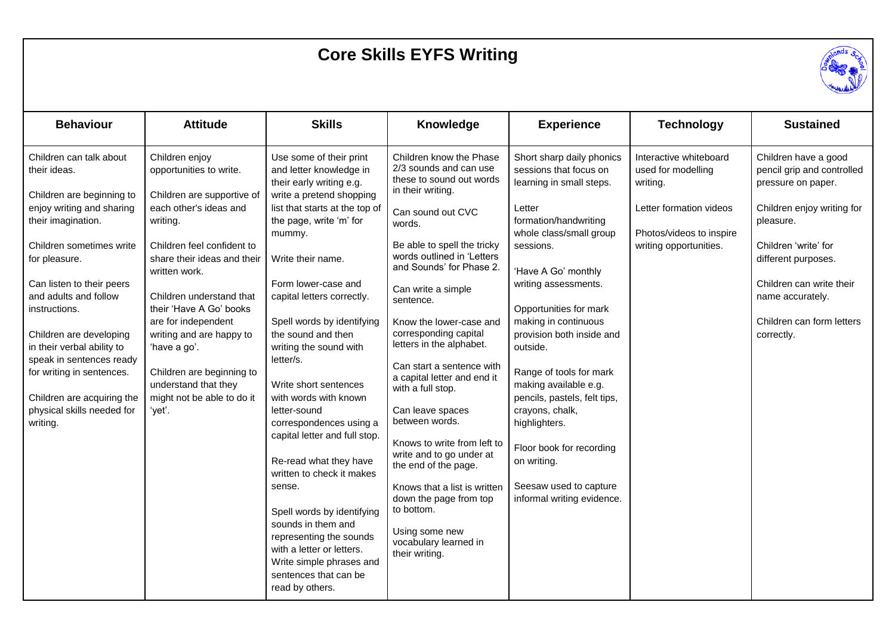## **Core Skills EYFS Writing**



| <b>Behaviour</b>                                                                                                                                                                                                                                                                                                                                                                           | <b>Attitude</b>                                                                                                                                                                                                                                                                                                                                                       | <b>Skills</b>                                                                                                                                                                                                                                                                                                                                                                                                                                                                                     | Knowledge                                                                                                                                                                                                                                                                                                                                                                                                                                                                                                                 | <b>Experience</b>                                                                                                                                                                                                                                                                                                                                                                                                                            | <b>Technology</b>                                                             | <b>Sustained</b>                                                                                                                                                                  |
|--------------------------------------------------------------------------------------------------------------------------------------------------------------------------------------------------------------------------------------------------------------------------------------------------------------------------------------------------------------------------------------------|-----------------------------------------------------------------------------------------------------------------------------------------------------------------------------------------------------------------------------------------------------------------------------------------------------------------------------------------------------------------------|---------------------------------------------------------------------------------------------------------------------------------------------------------------------------------------------------------------------------------------------------------------------------------------------------------------------------------------------------------------------------------------------------------------------------------------------------------------------------------------------------|---------------------------------------------------------------------------------------------------------------------------------------------------------------------------------------------------------------------------------------------------------------------------------------------------------------------------------------------------------------------------------------------------------------------------------------------------------------------------------------------------------------------------|----------------------------------------------------------------------------------------------------------------------------------------------------------------------------------------------------------------------------------------------------------------------------------------------------------------------------------------------------------------------------------------------------------------------------------------------|-------------------------------------------------------------------------------|-----------------------------------------------------------------------------------------------------------------------------------------------------------------------------------|
| Children can talk about<br>their ideas.                                                                                                                                                                                                                                                                                                                                                    | Children enjoy<br>opportunities to write.                                                                                                                                                                                                                                                                                                                             | Use some of their print<br>and letter knowledge in<br>their early writing e.g.                                                                                                                                                                                                                                                                                                                                                                                                                    | Children know the Phase<br>2/3 sounds and can use<br>these to sound out words<br>in their writing.                                                                                                                                                                                                                                                                                                                                                                                                                        | Short sharp daily phonics<br>sessions that focus on<br>learning in small steps.                                                                                                                                                                                                                                                                                                                                                              | Interactive whiteboard<br>used for modelling<br>writing.                      | Children have a good<br>pencil grip and controlled<br>pressure on paper.                                                                                                          |
| Children are beginning to<br>enjoy writing and sharing<br>their imagination.<br>Children sometimes write<br>for pleasure.<br>Can listen to their peers<br>and adults and follow<br>instructions.<br>Children are developing<br>in their verbal ability to<br>speak in sentences ready<br>for writing in sentences.<br>Children are acquiring the<br>physical skills needed for<br>writing. | Children are supportive of<br>each other's ideas and<br>writing.<br>Children feel confident to<br>share their ideas and their<br>written work.<br>Children understand that<br>their 'Have A Go' books<br>are for independent<br>writing and are happy to<br>'have a go'.<br>Children are beginning to<br>understand that they<br>might not be able to do it<br>'yet'. | write a pretend shopping<br>list that starts at the top of<br>the page, write 'm' for<br>mummy.<br>Write their name.<br>Form lower-case and<br>capital letters correctly.<br>Spell words by identifying<br>the sound and then<br>writing the sound with<br>letter/s.<br>Write short sentences<br>with words with known<br>letter-sound<br>correspondences using a<br>capital letter and full stop.<br>Re-read what they have<br>written to check it makes<br>sense.<br>Spell words by identifying | Can sound out CVC<br>words.<br>Be able to spell the tricky<br>words outlined in 'Letters<br>and Sounds' for Phase 2.<br>Can write a simple<br>sentence.<br>Know the lower-case and<br>corresponding capital<br>letters in the alphabet.<br>Can start a sentence with<br>a capital letter and end it<br>with a full stop.<br>Can leave spaces<br>between words.<br>Knows to write from left to<br>write and to go under at<br>the end of the page.<br>Knows that a list is written<br>down the page from top<br>to bottom. | Letter<br>formation/handwriting<br>whole class/small group<br>sessions.<br>'Have A Go' monthly<br>writing assessments.<br>Opportunities for mark<br>making in continuous<br>provision both inside and<br>outside.<br>Range of tools for mark<br>making available e.g.<br>pencils, pastels, felt tips,<br>crayons, chalk,<br>highlighters.<br>Floor book for recording<br>on writing.<br>Seesaw used to capture<br>informal writing evidence. | Letter formation videos<br>Photos/videos to inspire<br>writing opportunities. | Children enjoy writing for<br>pleasure.<br>Children 'write' for<br>different purposes.<br>Children can write their<br>name accurately.<br>Children can form letters<br>correctly. |
|                                                                                                                                                                                                                                                                                                                                                                                            |                                                                                                                                                                                                                                                                                                                                                                       | sounds in them and<br>representing the sounds<br>with a letter or letters.<br>Write simple phrases and<br>sentences that can be<br>read by others.                                                                                                                                                                                                                                                                                                                                                | Using some new<br>vocabulary learned in<br>their writing.                                                                                                                                                                                                                                                                                                                                                                                                                                                                 |                                                                                                                                                                                                                                                                                                                                                                                                                                              |                                                                               |                                                                                                                                                                                   |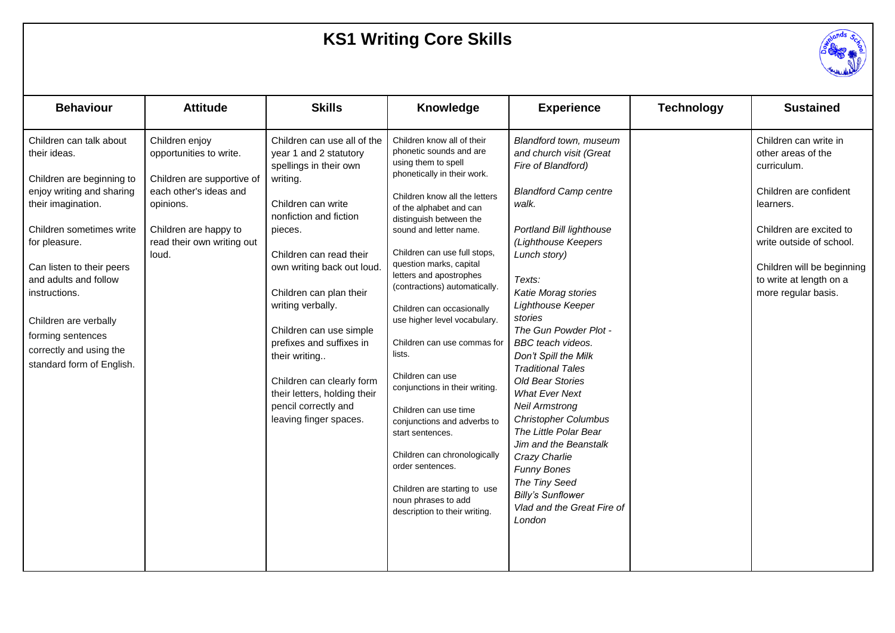## **KS1 Writing Core Skills**



| <b>Behaviour</b>                                                                                                                                                                                                                                                                                                                                  | <b>Attitude</b>                                                                                                                                                                | <b>Skills</b>                                                                                                                                                                                                                                                                                                                                                                                                                                          | Knowledge                                                                                                                                                                                                                                                                                                                                                                                                                                                                                                                                                                                                                                                                                                                               | <b>Experience</b>                                                                                                                                                                                                                                                                                                                                                                                                                                                                                                                                                                                                                                | <b>Technology</b> | <b>Sustained</b>                                                                                                                                                                                                                         |
|---------------------------------------------------------------------------------------------------------------------------------------------------------------------------------------------------------------------------------------------------------------------------------------------------------------------------------------------------|--------------------------------------------------------------------------------------------------------------------------------------------------------------------------------|--------------------------------------------------------------------------------------------------------------------------------------------------------------------------------------------------------------------------------------------------------------------------------------------------------------------------------------------------------------------------------------------------------------------------------------------------------|-----------------------------------------------------------------------------------------------------------------------------------------------------------------------------------------------------------------------------------------------------------------------------------------------------------------------------------------------------------------------------------------------------------------------------------------------------------------------------------------------------------------------------------------------------------------------------------------------------------------------------------------------------------------------------------------------------------------------------------------|--------------------------------------------------------------------------------------------------------------------------------------------------------------------------------------------------------------------------------------------------------------------------------------------------------------------------------------------------------------------------------------------------------------------------------------------------------------------------------------------------------------------------------------------------------------------------------------------------------------------------------------------------|-------------------|------------------------------------------------------------------------------------------------------------------------------------------------------------------------------------------------------------------------------------------|
| Children can talk about<br>their ideas.<br>Children are beginning to<br>enjoy writing and sharing<br>their imagination.<br>Children sometimes write<br>for pleasure.<br>Can listen to their peers<br>and adults and follow<br>instructions.<br>Children are verbally<br>forming sentences<br>correctly and using the<br>standard form of English. | Children enjoy<br>opportunities to write.<br>Children are supportive of<br>each other's ideas and<br>opinions.<br>Children are happy to<br>read their own writing out<br>loud. | Children can use all of the<br>year 1 and 2 statutory<br>spellings in their own<br>writing.<br>Children can write<br>nonfiction and fiction<br>pieces.<br>Children can read their<br>own writing back out loud.<br>Children can plan their<br>writing verbally.<br>Children can use simple<br>prefixes and suffixes in<br>their writing<br>Children can clearly form<br>their letters, holding their<br>pencil correctly and<br>leaving finger spaces. | Children know all of their<br>phonetic sounds and are<br>using them to spell<br>phonetically in their work.<br>Children know all the letters<br>of the alphabet and can<br>distinguish between the<br>sound and letter name.<br>Children can use full stops,<br>question marks, capital<br>letters and apostrophes<br>(contractions) automatically.<br>Children can occasionally<br>use higher level vocabulary.<br>Children can use commas for<br>lists.<br>Children can use<br>conjunctions in their writing.<br>Children can use time<br>conjunctions and adverbs to<br>start sentences.<br>Children can chronologically<br>order sentences.<br>Children are starting to use<br>noun phrases to add<br>description to their writing. | Blandford town, museum<br>and church visit (Great<br>Fire of Blandford)<br><b>Blandford Camp centre</b><br>walk.<br>Portland Bill lighthouse<br>(Lighthouse Keepers<br>Lunch story)<br>Texts:<br>Katie Morag stories<br>Lighthouse Keeper<br>stories<br>The Gun Powder Plot -<br>BBC teach videos.<br>Don't Spill the Milk<br><b>Traditional Tales</b><br><b>Old Bear Stories</b><br><b>What Ever Next</b><br><b>Neil Armstrong</b><br><b>Christopher Columbus</b><br>The Little Polar Bear<br>Jim and the Beanstalk<br>Crazy Charlie<br><b>Funny Bones</b><br>The Tiny Seed<br><b>Billy's Sunflower</b><br>Vlad and the Great Fire of<br>London |                   | Children can write in<br>other areas of the<br>curriculum.<br>Children are confident<br>learners.<br>Children are excited to<br>write outside of school.<br>Children will be beginning<br>to write at length on a<br>more regular basis. |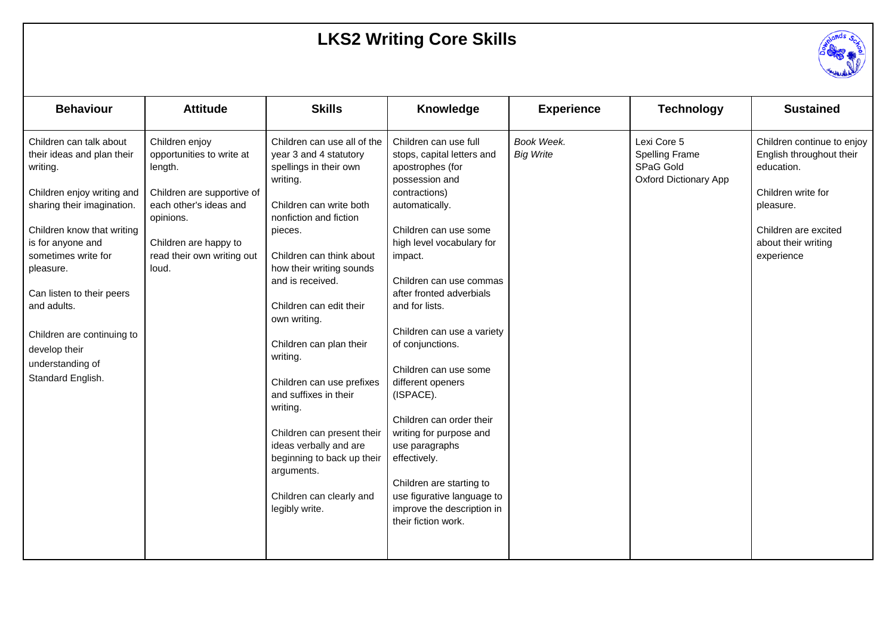## **LKS2 Writing Core Skills**



| <b>Behaviour</b>                                                                                                                                                                                                                                                                                                                                         | <b>Attitude</b>                                                                                                                                                                             | <b>Skills</b>                                                                                                                                                                                                                                                                                                                                                                                                                                                                                                                                 | Knowledge                                                                                                                                                                                                                                                                                                                                                                                                                                                                                                                                                                                   | <b>Experience</b>              | <b>Technology</b>                                                                 | <b>Sustained</b>                                                                                                                                                     |
|----------------------------------------------------------------------------------------------------------------------------------------------------------------------------------------------------------------------------------------------------------------------------------------------------------------------------------------------------------|---------------------------------------------------------------------------------------------------------------------------------------------------------------------------------------------|-----------------------------------------------------------------------------------------------------------------------------------------------------------------------------------------------------------------------------------------------------------------------------------------------------------------------------------------------------------------------------------------------------------------------------------------------------------------------------------------------------------------------------------------------|---------------------------------------------------------------------------------------------------------------------------------------------------------------------------------------------------------------------------------------------------------------------------------------------------------------------------------------------------------------------------------------------------------------------------------------------------------------------------------------------------------------------------------------------------------------------------------------------|--------------------------------|-----------------------------------------------------------------------------------|----------------------------------------------------------------------------------------------------------------------------------------------------------------------|
| Children can talk about<br>their ideas and plan their<br>writing.<br>Children enjoy writing and<br>sharing their imagination.<br>Children know that writing<br>is for anyone and<br>sometimes write for<br>pleasure.<br>Can listen to their peers<br>and adults.<br>Children are continuing to<br>develop their<br>understanding of<br>Standard English. | Children enjoy<br>opportunities to write at<br>length.<br>Children are supportive of<br>each other's ideas and<br>opinions.<br>Children are happy to<br>read their own writing out<br>loud. | Children can use all of the<br>year 3 and 4 statutory<br>spellings in their own<br>writing.<br>Children can write both<br>nonfiction and fiction<br>pieces.<br>Children can think about<br>how their writing sounds<br>and is received.<br>Children can edit their<br>own writing.<br>Children can plan their<br>writing.<br>Children can use prefixes<br>and suffixes in their<br>writing.<br>Children can present their<br>ideas verbally and are<br>beginning to back up their<br>arguments.<br>Children can clearly and<br>legibly write. | Children can use full<br>stops, capital letters and<br>apostrophes (for<br>possession and<br>contractions)<br>automatically.<br>Children can use some<br>high level vocabulary for<br>impact.<br>Children can use commas<br>after fronted adverbials<br>and for lists.<br>Children can use a variety<br>of conjunctions.<br>Children can use some<br>different openers<br>(ISPACE).<br>Children can order their<br>writing for purpose and<br>use paragraphs<br>effectively.<br>Children are starting to<br>use figurative language to<br>improve the description in<br>their fiction work. | Book Week.<br><b>Big Write</b> | Lexi Core 5<br><b>Spelling Frame</b><br>SPaG Gold<br><b>Oxford Dictionary App</b> | Children continue to enjoy<br>English throughout their<br>education.<br>Children write for<br>pleasure.<br>Children are excited<br>about their writing<br>experience |